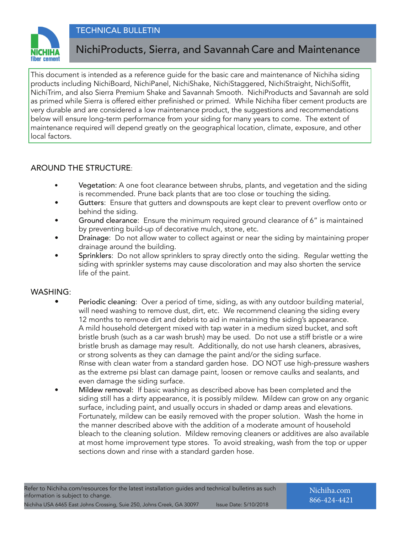### TECHNICAL BULLETIN



## NichiProducts, Sierra, and Savannah Care and Maintenance

This document is intended as a reference guide for the basic care and maintenance of Nichiha siding products including NichiBoard, NichiPanel, NichiShake, NichiStaggered, NichiStraight, NichiSoffit, NichiTrim, and also Sierra Premium Shake and Savannah Smooth. NichiProducts and Savannah are sold as primed while Sierra is offered either prefinished or primed. While Nichiha fiber cement products are very durable and are considered a low maintenance product, the suggestions and recommendations below will ensure long-term performance from your siding for many years to come. The extent of maintenance required will depend greatly on the geographical location, climate, exposure, and other local factors.

### AROUND THE STRUCTURE:

- Vegetation: A one foot clearance between shrubs, plants, and vegetation and the siding is recommended. Prune back plants that are too close or touching the siding.
- Gutters: Ensure that gutters and downspouts are kept clear to prevent overflow onto or behind the siding.
- Ground clearance: Ensure the minimum required ground clearance of 6" is maintained by preventing build-up of decorative mulch, stone, etc.
- Drainage: Do not allow water to collect against or near the siding by maintaining proper drainage around the building.
- Sprinklers: Do not allow sprinklers to spray directly onto the siding. Regular wetting the siding with sprinkler systems may cause discoloration and may also shorten the service life of the paint.

#### WASHING:

- Periodic cleaning: Over a period of time, siding, as with any outdoor building material, will need washing to remove dust, dirt, etc. We recommend cleaning the siding every 12 months to remove dirt and debris to aid in maintaining the siding's appearance. A mild household detergent mixed with tap water in a medium sized bucket, and soft bristle brush (such as a car wash brush) may be used. Do not use a stiff bristle or a wire bristle brush as damage may result. Additionally, do not use harsh cleaners, abrasives, or strong solvents as they can damage the paint and/or the siding surface. Rinse with clean water from a standard garden hose. DO NOT use high-pressure washers as the extreme psi blast can damage paint, loosen or remove caulks and sealants, and even damage the siding surface.
- Mildew removal: If basic washing as described above has been completed and the siding still has a dirty appearance, it is possibly mildew. Mildew can grow on any organic surface, including paint, and usually occurs in shaded or damp areas and elevations. Fortunately, mildew can be easily removed with the proper solution. Wash the home in the manner described above with the addition of a moderate amount of household bleach to the cleaning solution. Mildew removing cleaners or additives are also available at most home improvement type stores. To avoid streaking, wash from the top or upper sections down and rinse with a standard garden hose.

Nichiha.com 866-424-4421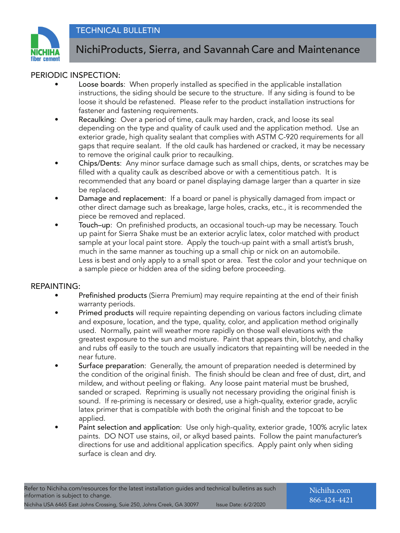

# NichiProducts, Sierra, and Savannah Care and Maintenance

### PERIODIC INSPECTION:

- Loose boards: When properly installed as specified in the applicable installation instructions, the siding should be secure to the structure. If any siding is found to be loose it should be refastened. Please refer to the product installation instructions for fastener and fastening requirements.
- Recaulking: Over a period of time, caulk may harden, crack, and loose its seal depending on the type and quality of caulk used and the application method. Use an exterior grade, high quality sealant that complies with ASTM C-920 requirements for all gaps that require sealant. If the old caulk has hardened or cracked, it may be necessary to remove the original caulk prior to recaulking.
- Chips/Dents: Any minor surface damage such as small chips, dents, or scratches may be filled with a quality caulk as described above or with a cementitious patch. It is recommended that any board or panel displaying damage larger than a quarter in size be replaced.
- Damage and replacement: If a board or panel is physically damaged from impact or other direct damage such as breakage, large holes, cracks, etc., it is recommended the piece be removed and replaced.
- Touch–up: On prefinished products, an occasional touch-up may be necessary. Touch up paint for Sierra Shake must be an exterior acrylic latex, color matched with product sample at your local paint store. Apply the touch-up paint with a small artist's brush, much in the same manner as touching up a small chip or nick on an automobile. Less is best and only apply to a small spot or area. Test the color and your technique on a sample piece or hidden area of the siding before proceeding.

### REPAINTING:

- Prefinished products (Sierra Premium) may require repainting at the end of their finish warranty periods.
- Primed products will require repainting depending on various factors including climate and exposure, location, and the type, quality, color, and application method originally used. Normally, paint will weather more rapidly on those wall elevations with the greatest exposure to the sun and moisture. Paint that appears thin, blotchy, and chalky and rubs off easily to the touch are usually indicators that repainting will be needed in the near future.
- Surface preparation: Generally, the amount of preparation needed is determined by the condition of the original finish. The finish should be clean and free of dust, dirt, and mildew, and without peeling or flaking. Any loose paint material must be brushed, sanded or scraped. Repriming is usually not necessary providing the original finish is sound. If re-priming is necessary or desired, use a high-quality, exterior grade, acrylic latex primer that is compatible with both the original finish and the topcoat to be applied.
- Paint selection and application: Use only high-quality, exterior grade, 100% acrylic latex paints. DO NOT use stains, oil, or alkyd based paints. Follow the paint manufacturer's directions for use and additional application specifics. Apply paint only when siding surface is clean and dry.

Nichiha.com 866-424-4421